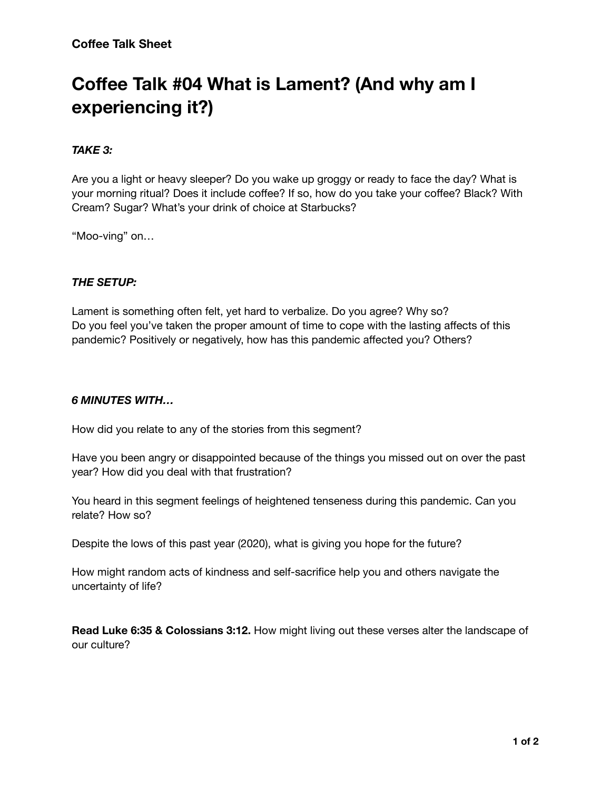# **Coffee Talk #04 What is Lament? (And why am I experiencing it?)**

## *TAKE 3:*

Are you a light or heavy sleeper? Do you wake up groggy or ready to face the day? What is your morning ritual? Does it include coffee? If so, how do you take your coffee? Black? With Cream? Sugar? What's your drink of choice at Starbucks?

"Moo-ving" on…

## *THE SETUP:*

Lament is something often felt, yet hard to verbalize. Do you agree? Why so? Do you feel you've taken the proper amount of time to cope with the lasting affects of this pandemic? Positively or negatively, how has this pandemic affected you? Others?

## *6 MINUTES WITH…*

How did you relate to any of the stories from this segment?

Have you been angry or disappointed because of the things you missed out on over the past year? How did you deal with that frustration?

You heard in this segment feelings of heightened tenseness during this pandemic. Can you relate? How so?

Despite the lows of this past year (2020), what is giving you hope for the future?

How might random acts of kindness and self-sacrifice help you and others navigate the uncertainty of life?

**Read Luke 6:35 & Colossians 3:12.** How might living out these verses alter the landscape of our culture?